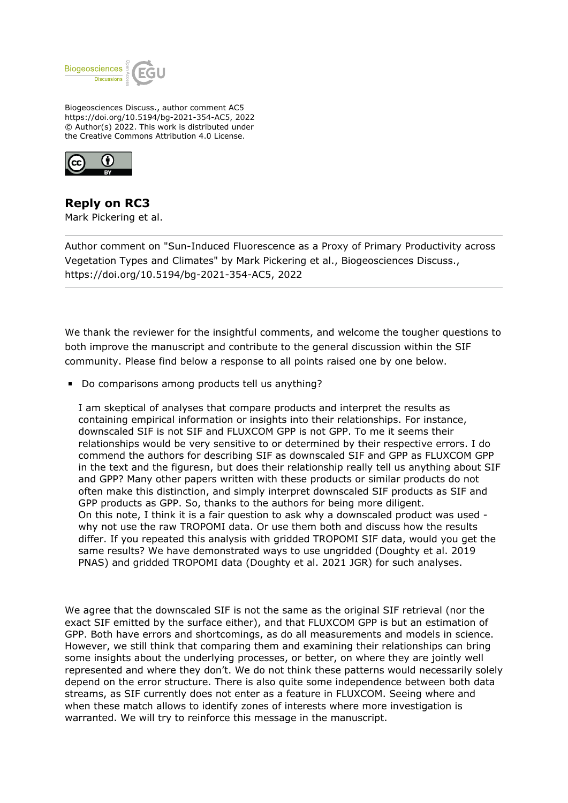

Biogeosciences Discuss., author comment AC5 https://doi.org/10.5194/bg-2021-354-AC5, 2022 © Author(s) 2022. This work is distributed under the Creative Commons Attribution 4.0 License.



**Reply on RC3** Mark Pickering et al.

Author comment on "Sun-Induced Fluorescence as a Proxy of Primary Productivity across Vegetation Types and Climates" by Mark Pickering et al., Biogeosciences Discuss., https://doi.org/10.5194/bg-2021-354-AC5, 2022

We thank the reviewer for the insightful comments, and welcome the tougher questions to both improve the manuscript and contribute to the general discussion within the SIF community. Please find below a response to all points raised one by one below.

Do comparisons among products tell us anything?

I am skeptical of analyses that compare products and interpret the results as containing empirical information or insights into their relationships. For instance, downscaled SIF is not SIF and FLUXCOM GPP is not GPP. To me it seems their relationships would be very sensitive to or determined by their respective errors. I do commend the authors for describing SIF as downscaled SIF and GPP as FLUXCOM GPP in the text and the figuresn, but does their relationship really tell us anything about SIF and GPP? Many other papers written with these products or similar products do not often make this distinction, and simply interpret downscaled SIF products as SIF and GPP products as GPP. So, thanks to the authors for being more diligent. On this note, I think it is a fair question to ask why a downscaled product was used why not use the raw TROPOMI data. Or use them both and discuss how the results differ. If you repeated this analysis with gridded TROPOMI SIF data, would you get the same results? We have demonstrated ways to use ungridded (Doughty et al. 2019 PNAS) and gridded TROPOMI data (Doughty et al. 2021 JGR) for such analyses.

We agree that the downscaled SIF is not the same as the original SIF retrieval (nor the exact SIF emitted by the surface either), and that FLUXCOM GPP is but an estimation of GPP. Both have errors and shortcomings, as do all measurements and models in science. However, we still think that comparing them and examining their relationships can bring some insights about the underlying processes, or better, on where they are jointly well represented and where they don't. We do not think these patterns would necessarily solely depend on the error structure. There is also quite some independence between both data streams, as SIF currently does not enter as a feature in FLUXCOM. Seeing where and when these match allows to identify zones of interests where more investigation is warranted. We will try to reinforce this message in the manuscript.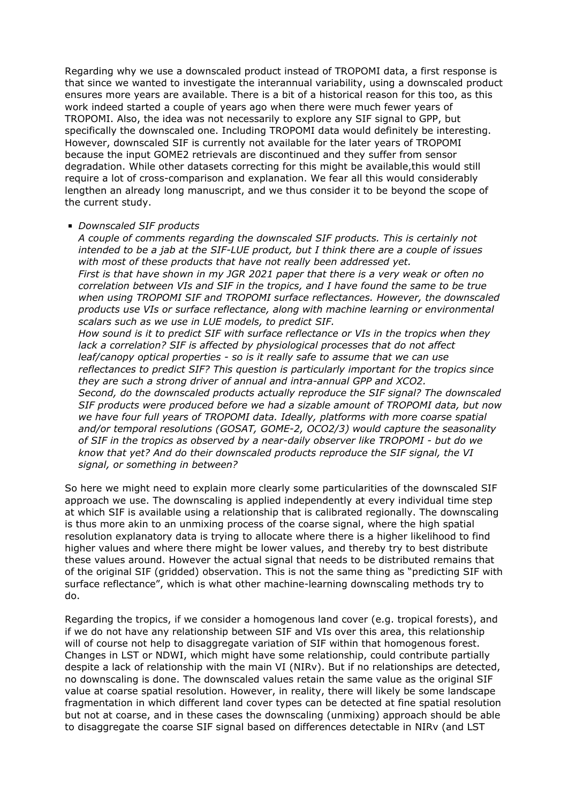Regarding why we use a downscaled product instead of TROPOMI data, a first response is that since we wanted to investigate the interannual variability, using a downscaled product ensures more years are available. There is a bit of a historical reason for this too, as this work indeed started a couple of years ago when there were much fewer years of TROPOMI. Also, the idea was not necessarily to explore any SIF signal to GPP, but specifically the downscaled one. Including TROPOMI data would definitely be interesting. However, downscaled SIF is currently not available for the later years of TROPOMI because the input GOME2 retrievals are discontinued and they suffer from sensor degradation. While other datasets correcting for this might be available,this would still require a lot of cross-comparison and explanation. We fear all this would considerably lengthen an already long manuscript, and we thus consider it to be beyond the scope of the current study.

## *Downscaled SIF products*

*A couple of comments regarding the downscaled SIF products. This is certainly not intended to be a jab at the SIF-LUE product, but I think there are a couple of issues with most of these products that have not really been addressed yet. First is that have shown in my JGR 2021 paper that there is a very weak or often no correlation between VIs and SIF in the tropics, and I have found the same to be true when using TROPOMI SIF and TROPOMI surface reflectances. However, the downscaled products use VIs or surface reflectance, along with machine learning or environmental scalars such as we use in LUE models, to predict SIF. How sound is it to predict SIF with surface reflectance or VIs in the tropics when they lack a correlation? SIF is affected by physiological processes that do not affect leaf/canopy optical properties - so is it really safe to assume that we can use reflectances to predict SIF? This question is particularly important for the tropics since they are such a strong driver of annual and intra-annual GPP and XCO2. Second, do the downscaled products actually reproduce the SIF signal? The downscaled SIF products were produced before we had a sizable amount of TROPOMI data, but now we have four full years of TROPOMI data. Ideally, platforms with more coarse spatial and/or temporal resolutions (GOSAT, GOME-2, OCO2/3) would capture the seasonality of SIF in the tropics as observed by a near-daily observer like TROPOMI - but do we know that yet? And do their downscaled products reproduce the SIF signal, the VI signal, or something in between?*

So here we might need to explain more clearly some particularities of the downscaled SIF approach we use. The downscaling is applied independently at every individual time step at which SIF is available using a relationship that is calibrated regionally. The downscaling is thus more akin to an unmixing process of the coarse signal, where the high spatial resolution explanatory data is trying to allocate where there is a higher likelihood to find higher values and where there might be lower values, and thereby try to best distribute these values around. However the actual signal that needs to be distributed remains that of the original SIF (gridded) observation. This is not the same thing as "predicting SIF with surface reflectance", which is what other machine-learning downscaling methods try to do.

Regarding the tropics, if we consider a homogenous land cover (e.g. tropical forests), and if we do not have any relationship between SIF and VIs over this area, this relationship will of course not help to disaggregate variation of SIF within that homogenous forest. Changes in LST or NDWI, which might have some relationship, could contribute partially despite a lack of relationship with the main VI (NIRv). But if no relationships are detected, no downscaling is done. The downscaled values retain the same value as the original SIF value at coarse spatial resolution. However, in reality, there will likely be some landscape fragmentation in which different land cover types can be detected at fine spatial resolution but not at coarse, and in these cases the downscaling (unmixing) approach should be able to disaggregate the coarse SIF signal based on differences detectable in NIRv (and LST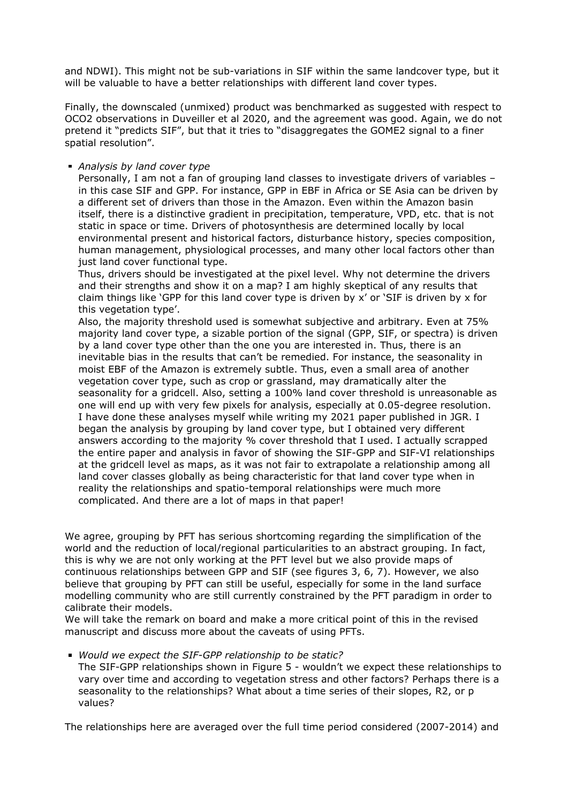and NDWI). This might not be sub-variations in SIF within the same landcover type, but it will be valuable to have a better relationships with different land cover types.

Finally, the downscaled (unmixed) product was benchmarked as suggested with respect to OCO2 observations in Duveiller et al 2020, and the agreement was good. Again, we do not pretend it "predicts SIF", but that it tries to "disaggregates the GOME2 signal to a finer spatial resolution".

## *Analysis by land cover type*

Personally, I am not a fan of grouping land classes to investigate drivers of variables – in this case SIF and GPP. For instance, GPP in EBF in Africa or SE Asia can be driven by a different set of drivers than those in the Amazon. Even within the Amazon basin itself, there is a distinctive gradient in precipitation, temperature, VPD, etc. that is not static in space or time. Drivers of photosynthesis are determined locally by local environmental present and historical factors, disturbance history, species composition, human management, physiological processes, and many other local factors other than just land cover functional type.

Thus, drivers should be investigated at the pixel level. Why not determine the drivers and their strengths and show it on a map? I am highly skeptical of any results that claim things like 'GPP for this land cover type is driven by x' or 'SIF is driven by x for this vegetation type'.

Also, the majority threshold used is somewhat subjective and arbitrary. Even at 75% majority land cover type, a sizable portion of the signal (GPP, SIF, or spectra) is driven by a land cover type other than the one you are interested in. Thus, there is an inevitable bias in the results that can't be remedied. For instance, the seasonality in moist EBF of the Amazon is extremely subtle. Thus, even a small area of another vegetation cover type, such as crop or grassland, may dramatically alter the seasonality for a gridcell. Also, setting a 100% land cover threshold is unreasonable as one will end up with very few pixels for analysis, especially at 0.05-degree resolution. I have done these analyses myself while writing my 2021 paper published in JGR. I began the analysis by grouping by land cover type, but I obtained very different answers according to the majority % cover threshold that I used. I actually scrapped the entire paper and analysis in favor of showing the SIF-GPP and SIF-VI relationships at the gridcell level as maps, as it was not fair to extrapolate a relationship among all land cover classes globally as being characteristic for that land cover type when in reality the relationships and spatio-temporal relationships were much more complicated. And there are a lot of maps in that paper!

We agree, grouping by PFT has serious shortcoming regarding the simplification of the world and the reduction of local/regional particularities to an abstract grouping. In fact, this is why we are not only working at the PFT level but we also provide maps of continuous relationships between GPP and SIF (see figures 3, 6, 7). However, we also believe that grouping by PFT can still be useful, especially for some in the land surface modelling community who are still currently constrained by the PFT paradigm in order to calibrate their models.

We will take the remark on board and make a more critical point of this in the revised manuscript and discuss more about the caveats of using PFTs.

## *Would we expect the SIF-GPP relationship to be static?*

The SIF-GPP relationships shown in Figure 5 - wouldn't we expect these relationships to vary over time and according to vegetation stress and other factors? Perhaps there is a seasonality to the relationships? What about a time series of their slopes, R2, or p values?

The relationships here are averaged over the full time period considered (2007-2014) and